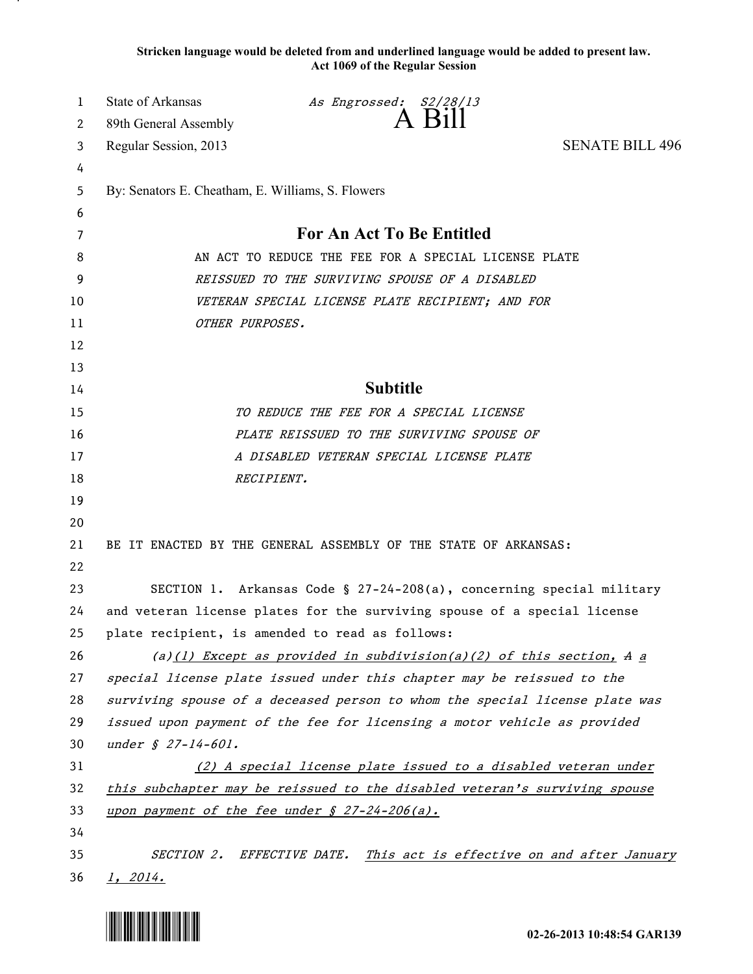**Stricken language would be deleted from and underlined language would be added to present law. Act 1069 of the Regular Session**

| 1  | <b>State of Arkansas</b>                                                    | As Engrossed: S2/28/13                                     |                        |
|----|-----------------------------------------------------------------------------|------------------------------------------------------------|------------------------|
| 2  | 89th General Assembly                                                       | A Bill                                                     |                        |
| 3  | Regular Session, 2013                                                       |                                                            | <b>SENATE BILL 496</b> |
| 4  |                                                                             |                                                            |                        |
| 5  | By: Senators E. Cheatham, E. Williams, S. Flowers                           |                                                            |                        |
| 6  |                                                                             |                                                            |                        |
| 7  | For An Act To Be Entitled                                                   |                                                            |                        |
| 8  | AN ACT TO REDUCE THE FEE FOR A SPECIAL LICENSE PLATE                        |                                                            |                        |
| 9  | REISSUED TO THE SURVIVING SPOUSE OF A DISABLED                              |                                                            |                        |
| 10 | VETERAN SPECIAL LICENSE PLATE RECIPIENT; AND FOR                            |                                                            |                        |
| 11 | OTHER PURPOSES.                                                             |                                                            |                        |
| 12 |                                                                             |                                                            |                        |
| 13 |                                                                             |                                                            |                        |
| 14 | <b>Subtitle</b>                                                             |                                                            |                        |
| 15 | TO REDUCE THE FEE FOR A SPECIAL LICENSE                                     |                                                            |                        |
| 16 | PLATE REISSUED TO THE SURVIVING SPOUSE OF                                   |                                                            |                        |
| 17 | A DISABLED VETERAN SPECIAL LICENSE PLATE                                    |                                                            |                        |
| 18 | RECIPIENT.                                                                  |                                                            |                        |
| 19 |                                                                             |                                                            |                        |
| 20 |                                                                             |                                                            |                        |
| 21 | BE IT ENACTED BY THE GENERAL ASSEMBLY OF THE STATE OF ARKANSAS:             |                                                            |                        |
| 22 |                                                                             |                                                            |                        |
| 23 | SECTION 1. Arkansas Code § 27-24-208(a), concerning special military        |                                                            |                        |
| 24 | and veteran license plates for the surviving spouse of a special license    |                                                            |                        |
| 25 | plate recipient, is amended to read as follows:                             |                                                            |                        |
| 26 | (a)(1) Except as provided in subdivision(a)(2) of this section, A $a$       |                                                            |                        |
| 27 | special license plate issued under this chapter may be reissued to the      |                                                            |                        |
| 28 | surviving spouse of a deceased person to whom the special license plate was |                                                            |                        |
| 29 | issued upon payment of the fee for licensing a motor vehicle as provided    |                                                            |                        |
| 30 | under § 27-14-601.                                                          |                                                            |                        |
| 31 | (2) A special license plate issued to a disabled veteran under              |                                                            |                        |
| 32 | this subchapter may be reissued to the disabled veteran's surviving spouse  |                                                            |                        |
| 33 | <u>upon payment of the fee under § 27-24-206(a).</u>                        |                                                            |                        |
| 34 |                                                                             |                                                            |                        |
| 35 | <i>SECTION 2.</i>                                                           | EFFECTIVE DATE. This act is effective on and after January |                        |
| 36 | 1, 2014.                                                                    |                                                            |                        |